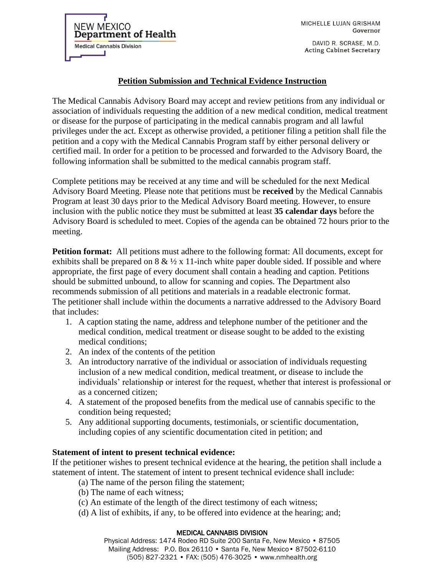MICHELLE LUJAN GRISHAM Governor

DAVID R. SCRASE, M.D. **Acting Cabinet Secretary** 

## **Petition Submission and Technical Evidence Instruction**

The Medical Cannabis Advisory Board may accept and review petitions from any individual or association of individuals requesting the addition of a new medical condition, medical treatment or disease for the purpose of participating in the medical cannabis program and all lawful privileges under the act. Except as otherwise provided, a petitioner filing a petition shall file the petition and a copy with the Medical Cannabis Program staff by either personal delivery or certified mail. In order for a petition to be processed and forwarded to the Advisory Board, the following information shall be submitted to the medical cannabis program staff.

Complete petitions may be received at any time and will be scheduled for the next Medical Advisory Board Meeting. Please note that petitions must be **received** by the Medical Cannabis Program at least 30 days prior to the Medical Advisory Board meeting. However, to ensure inclusion with the public notice they must be submitted at least **35 calendar days** before the Advisory Board is scheduled to meet. Copies of the agenda can be obtained 72 hours prior to the meeting.

**Petition format:** All petitions must adhere to the following format: All documents, except for exhibits shall be prepared on  $8 \& ½ \times 11$ -inch white paper double sided. If possible and where appropriate, the first page of every document shall contain a heading and caption. Petitions should be submitted unbound, to allow for scanning and copies. The Department also recommends submission of all petitions and materials in a readable electronic format. The petitioner shall include within the documents a narrative addressed to the Advisory Board that includes:

- 1. A caption stating the name, address and telephone number of the petitioner and the medical condition, medical treatment or disease sought to be added to the existing medical conditions;
- 2. An index of the contents of the petition

**NEW MEXICO** 

**Medical Cannabis Division** 

Department of Health

- 3. An introductory narrative of the individual or association of individuals requesting inclusion of a new medical condition, medical treatment, or disease to include the individuals' relationship or interest for the request, whether that interest is professional or as a concerned citizen;
- 4. A statement of the proposed benefits from the medical use of cannabis specific to the condition being requested;
- 5. Any additional supporting documents, testimonials, or scientific documentation, including copies of any scientific documentation cited in petition; and

## **Statement of intent to present technical evidence:**

If the petitioner wishes to present technical evidence at the hearing, the petition shall include a statement of intent. The statement of intent to present technical evidence shall include:

- (a) The name of the person filing the statement;
- (b) The name of each witness;
- (c) An estimate of the length of the direct testimony of each witness;
- (d) A list of exhibits, if any, to be offered into evidence at the hearing; and;

## MEDICAL CANNABIS DIVISION

Physical Address: 1474 Rodeo RD Suite 200 Santa Fe, New Mexico • 87505 Mailing Address: P.O. Box 26110 • Santa Fe, New Mexico• 87502-6110 (505) 827-2321 • FAX: (505) 476-3025 • www.nmhealth.org